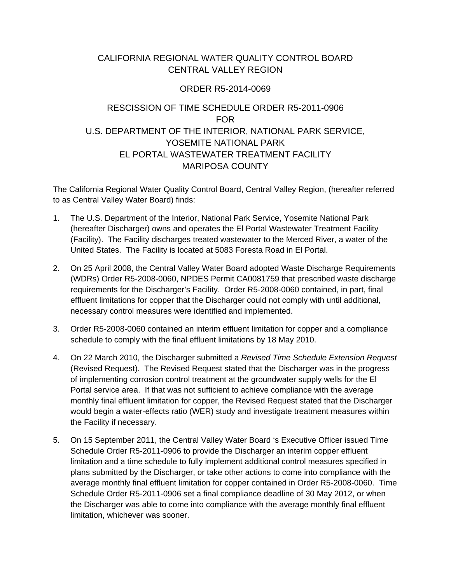## CALIFORNIA REGIONAL WATER QUALITY CONTROL BOARD CENTRAL VALLEY REGION

## ORDER R5-2014-0069

## RESCISSION OF TIME SCHEDULE ORDER R5-2011-0906 FOR U.S. DEPARTMENT OF THE INTERIOR, NATIONAL PARK SERVICE, YOSEMITE NATIONAL PARK EL PORTAL WASTEWATER TREATMENT FACILITY MARIPOSA COUNTY

The California Regional Water Quality Control Board, Central Valley Region, (hereafter referred to as Central Valley Water Board) finds:

- 1. The U.S. Department of the Interior, National Park Service, Yosemite National Park (hereafter Discharger) owns and operates the El Portal Wastewater Treatment Facility (Facility). The Facility discharges treated wastewater to the Merced River, a water of the United States. The Facility is located at 5083 Foresta Road in El Portal.
- 2. On 25 April 2008, the Central Valley Water Board adopted Waste Discharge Requirements (WDRs) Order R5-2008-0060, NPDES Permit CA0081759 that prescribed waste discharge requirements for the Discharger's Facility. Order R5-2008-0060 contained, in part, final effluent limitations for copper that the Discharger could not comply with until additional, necessary control measures were identified and implemented.
- 3. Order R5-2008-0060 contained an interim effluent limitation for copper and a compliance schedule to comply with the final effluent limitations by 18 May 2010.
- 4. On 22 March 2010, the Discharger submitted a *Revised Time Schedule Extension Request* (Revised Request). The Revised Request stated that the Discharger was in the progress of implementing corrosion control treatment at the groundwater supply wells for the El Portal service area. If that was not sufficient to achieve compliance with the average monthly final effluent limitation for copper, the Revised Request stated that the Discharger would begin a water-effects ratio (WER) study and investigate treatment measures within the Facility if necessary.
- 5. On 15 September 2011, the Central Valley Water Board 's Executive Officer issued Time Schedule Order R5-2011-0906 to provide the Discharger an interim copper effluent limitation and a time schedule to fully implement additional control measures specified in plans submitted by the Discharger, or take other actions to come into compliance with the average monthly final effluent limitation for copper contained in Order R5-2008-0060. Time Schedule Order R5-2011-0906 set a final compliance deadline of 30 May 2012, or when the Discharger was able to come into compliance with the average monthly final effluent limitation, whichever was sooner.